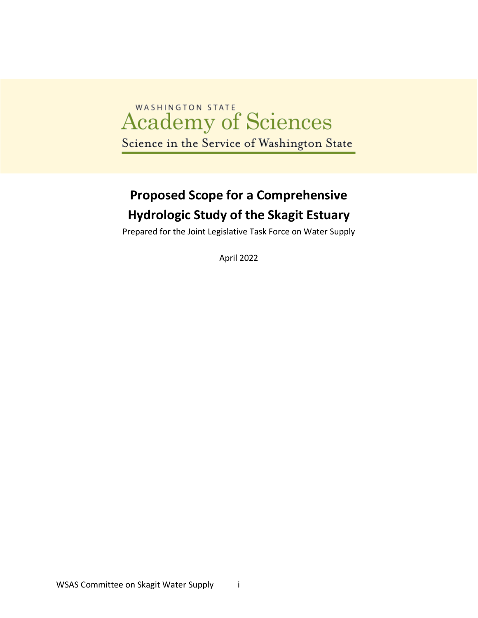# Academy of Sciences Science in the Service of Washington State

# **Proposed Scope for a Comprehensive Hydrologic Study of the Skagit Estuary**

Prepared for the Joint Legislative Task Force on Water Supply

April 2022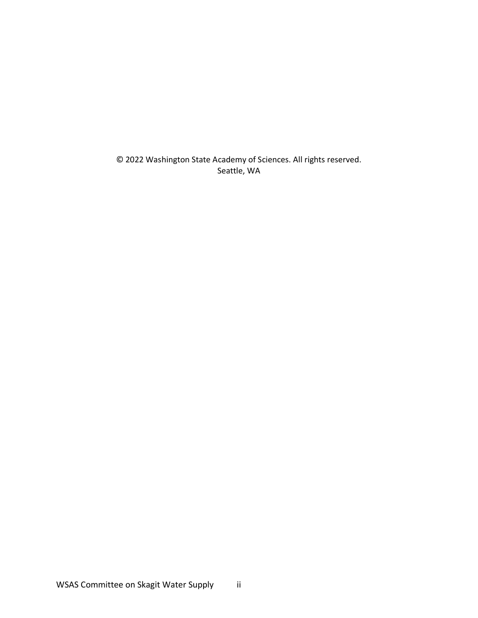© 2022 Washington State Academy of Sciences. All rights reserved. Seattle, WA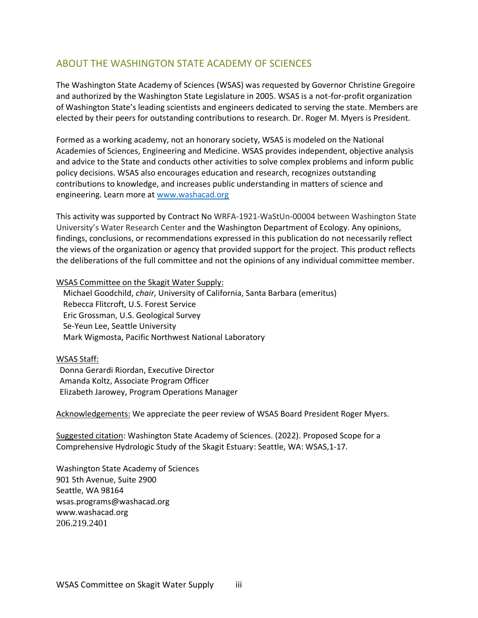# <span id="page-2-0"></span>ABOUT THE WASHINGTON STATE ACADEMY OF SCIENCES

The Washington State Academy of Sciences (WSAS) was requested by Governor Christine Gregoire and authorized by the Washington State Legislature in 2005. WSAS is a not-for-profit organization of Washington State's leading scientists and engineers dedicated to serving the state. Members are elected by their peers for outstanding contributions to research. Dr. Roger M. Myers is President.

Formed as a working academy, not an honorary society, WSAS is modeled on the National Academies of Sciences, Engineering and Medicine. WSAS provides independent, objective analysis and advice to the State and conducts other activities to solve complex problems and inform public policy decisions. WSAS also encourages education and research, recognizes outstanding contributions to knowledge, and increases public understanding in matters of science and engineering. Learn more at [www.washacad.org](http://www.washacad.org/)

This activity was supported by Contract No WRFA-1921-WaStUn-00004 between Washington State University's Water Research Center and the Washington Department of Ecology. Any opinions, findings, conclusions, or recommendations expressed in this publication do not necessarily reflect the views of the organization or agency that provided support for the project. This product reflects the deliberations of the full committee and not the opinions of any individual committee member.

#### WSAS Committee on the Skagit Water Supply:

Michael Goodchild, *chair*, University of California, Santa Barbara (emeritus) Rebecca Flitcroft, U.S. Forest Service Eric Grossman, U.S. Geological Survey Se-Yeun Lee, Seattle University Mark Wigmosta, Pacific Northwest National Laboratory

#### WSAS Staff:

Donna Gerardi Riordan, Executive Director Amanda Koltz, Associate Program Officer Elizabeth Jarowey, Program Operations Manager

Acknowledgements: We appreciate the peer review of WSAS Board President Roger Myers.

Suggested citation: Washington State Academy of Sciences. (2022). Proposed Scope for a Comprehensive Hydrologic Study of the Skagit Estuary: Seattle, WA: WSAS,1-17.

Washington State Academy of Sciences 901 5th Avenue, Suite 2900 Seattle, WA 98164 wsas.programs@washacad.org www.washacad.org 206.219.2401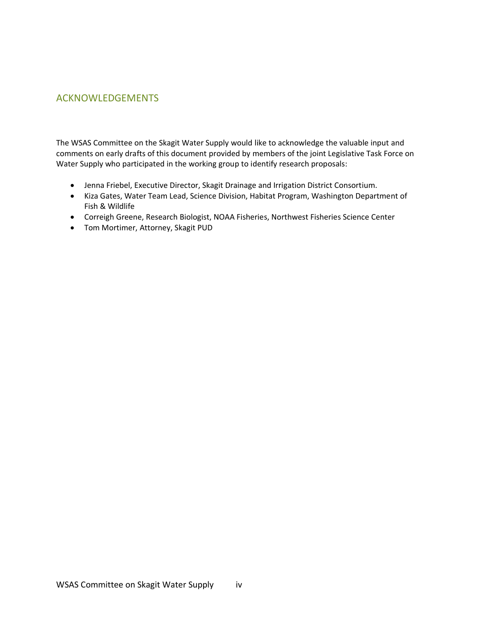# <span id="page-3-0"></span>ACKNOWLEDGEMENTS

The WSAS Committee on the Skagit Water Supply would like to acknowledge the valuable input and comments on early drafts of this document provided by members of the joint Legislative Task Force on Water Supply who participated in the working group to identify research proposals:

- Jenna Friebel, Executive Director, Skagit Drainage and Irrigation District Consortium.
- Kiza Gates, Water Team Lead, Science Division, Habitat Program, Washington Department of Fish & Wildlife
- Correigh Greene, Research Biologist, NOAA Fisheries, Northwest Fisheries Science Center
- Tom Mortimer, Attorney, Skagit PUD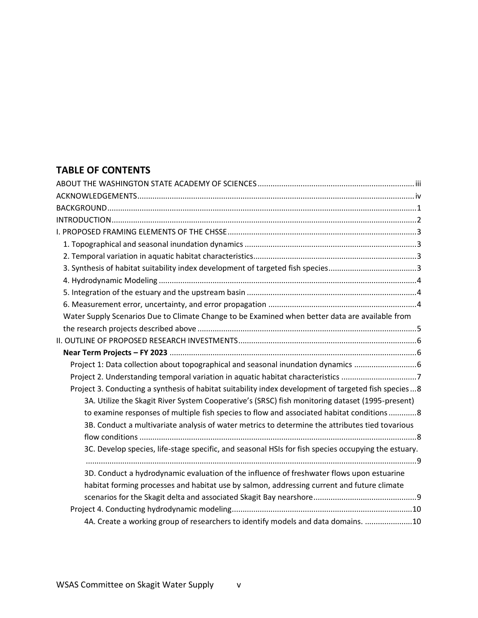# **TABLE OF CONTENTS**

| Water Supply Scenarios Due to Climate Change to be Examined when better data are available from      |
|------------------------------------------------------------------------------------------------------|
|                                                                                                      |
|                                                                                                      |
|                                                                                                      |
|                                                                                                      |
|                                                                                                      |
| Project 3. Conducting a synthesis of habitat suitability index development of targeted fish species8 |
| 3A. Utilize the Skagit River System Cooperative's (SRSC) fish monitoring dataset (1995-present)      |
| to examine responses of multiple fish species to flow and associated habitat conditions8             |
| 3B. Conduct a multivariate analysis of water metrics to determine the attributes tied tovarious      |
|                                                                                                      |
| 3C. Develop species, life-stage specific, and seasonal HSIs for fish species occupying the estuary.  |
|                                                                                                      |
| 3D. Conduct a hydrodynamic evaluation of the influence of freshwater flows upon estuarine            |
| habitat forming processes and habitat use by salmon, addressing current and future climate           |
|                                                                                                      |
|                                                                                                      |
| 4A. Create a working group of researchers to identify models and data domains. 10                    |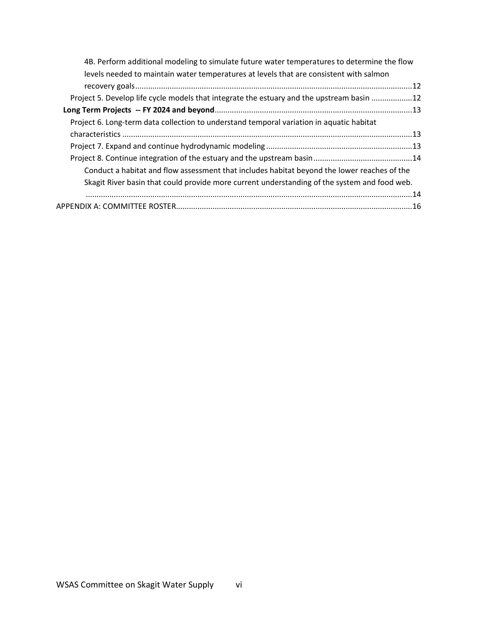| 4B. Perform additional modeling to simulate future water temperatures to determine the flow  |  |
|----------------------------------------------------------------------------------------------|--|
| levels needed to maintain water temperatures at levels that are consistent with salmon       |  |
|                                                                                              |  |
| Project 5. Develop life cycle models that integrate the estuary and the upstream basin 12    |  |
|                                                                                              |  |
| Project 6. Long-term data collection to understand temporal variation in aquatic habitat     |  |
|                                                                                              |  |
|                                                                                              |  |
|                                                                                              |  |
| Conduct a habitat and flow assessment that includes habitat beyond the lower reaches of the  |  |
| Skagit River basin that could provide more current understanding of the system and food web. |  |
|                                                                                              |  |
|                                                                                              |  |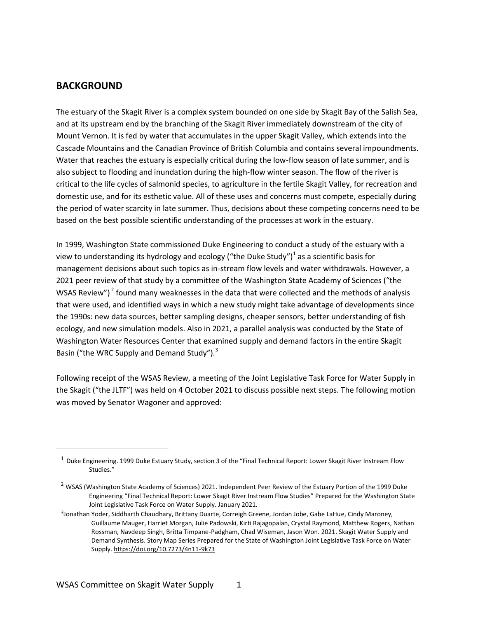### <span id="page-6-0"></span>**BACKGROUND**

The estuary of the Skagit River is a complex system bounded on one side by Skagit Bay of the Salish Sea, and at its upstream end by the branching of the Skagit River immediately downstream of the city of Mount Vernon. It is fed by water that accumulates in the upper Skagit Valley, which extends into the Cascade Mountains and the Canadian Province of British Columbia and contains several impoundments. Water that reaches the estuary is especially critical during the low-flow season of late summer, and is also subject to flooding and inundation during the high-flow winter season. The flow of the river is critical to the life cycles of salmonid species, to agriculture in the fertile Skagit Valley, for recreation and domestic use, and for its esthetic value. All of these uses and concerns must compete, especially during the period of water scarcity in late summer. Thus, decisions about these competing concerns need to be based on the best possible scientific understanding of the processes at work in the estuary.

In 1999, Washington State commissioned Duke Engineering to conduct a study of the estuary with a view to understanding its hydrology and ecology ("the Duke Study")<sup>1</sup> as a scientific basis for management decisions about such topics as in-stream flow levels and water withdrawals. However, a 2021 peer review of that study by a committee of the Washington State Academy of Sciences ("the WSAS Review")<sup>2</sup> found many weaknesses in the data that were collected and the methods of analysis that were used, and identified ways in which a new study might take advantage of developments since the 1990s: new data sources, better sampling designs, cheaper sensors, better understanding of fish ecology, and new simulation models. Also in 2021, a parallel analysis was conducted by the State of Washington Water Resources Center that examined supply and demand factors in the entire Skagit Basin ("the WRC Supply and Demand Study").<sup>3</sup>

Following receipt of the WSAS Review, a meeting of the Joint Legislative Task Force for Water Supply in the Skagit ("the JLTF") was held on 4 October 2021 to discuss possible next steps. The following motion was moved by Senator Wagoner and approved:

 $<sup>1</sup>$  Duke Engineering. 1999 Duke Estuary Study, section 3 of the "Final Technical Report: Lower Skagit River Instream Flow</sup> Studies."

 $^2$  WSAS (Washington State Academy of Sciences) 2021. Independent Peer Review of the Estuary Portion of the 1999 Duke Engineering "Final Technical Report: Lower Skagit River Instream Flow Studies" Prepared for the Washington State Joint Legislative Task Force on Water Supply. January 2021.

<sup>3</sup> Jonathan Yoder, Siddharth Chaudhary, Brittany Duarte, Correigh Greene, Jordan Jobe, Gabe LaHue, Cindy Maroney, Guillaume Mauger, Harriet Morgan, Julie Padowski, Kirti Rajagopalan, Crystal Raymond, Matthew Rogers, Nathan Rossman, Navdeep Singh, Britta Timpane-Padgham, Chad Wiseman, Jason Won. 2021. Skagit Water Supply and Demand Synthesis. Story Map Series Prepared for the State of Washington Joint Legislative Task Force on Water Supply. [https://doi.org/10.7273/4n11-9k73](https://urldefense.com/v3/__https:/doi.org/10.7273/4n11-9k73__;!!JmPEgBY0HMszNaDT!7CDwdJ79LI65a6zTmxib0eRMyQb__U2VB8S-J0gLVG9BP4YHaqRngrh5xj6chOF_rkU$)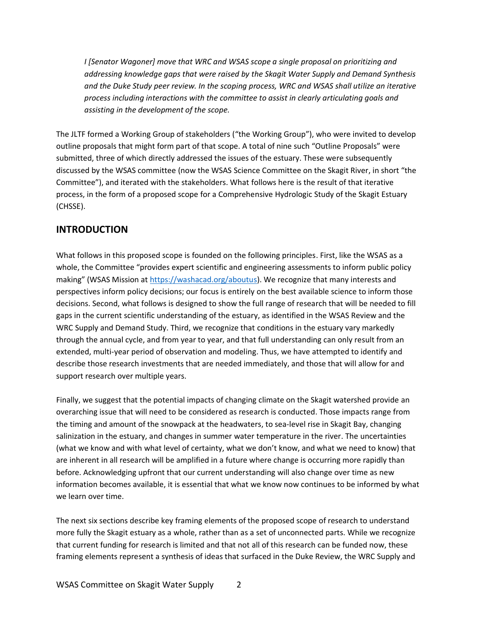*I [Senator Wagoner] move that WRC and WSAS scope a single proposal on prioritizing and addressing knowledge gaps that were raised by the Skagit Water Supply and Demand Synthesis and the Duke Study peer review. In the scoping process, WRC and WSAS shall utilize an iterative process including interactions with the committee to assist in clearly articulating goals and assisting in the development of the scope.*

The JLTF formed a Working Group of stakeholders ("the Working Group"), who were invited to develop outline proposals that might form part of that scope. A total of nine such "Outline Proposals" were submitted, three of which directly addressed the issues of the estuary. These were subsequently discussed by the WSAS committee (now the WSAS Science Committee on the Skagit River, in short "the Committee"), and iterated with the stakeholders. What follows here is the result of that iterative process, in the form of a proposed scope for a Comprehensive Hydrologic Study of the Skagit Estuary (CHSSE).

# <span id="page-7-0"></span>**INTRODUCTION**

What follows in this proposed scope is founded on the following principles. First, like the WSAS as a whole, the Committee "provides expert scientific and engineering assessments to inform public policy making" (WSAS Mission at [https://washacad.org/aboutus\)](https://washacad.org/aboutus/). We recognize that many interests and perspectives inform policy decisions; our focus is entirely on the best available science to inform those decisions. Second, what follows is designed to show the full range of research that will be needed to fill gaps in the current scientific understanding of the estuary, as identified in the WSAS Review and the WRC Supply and Demand Study. Third, we recognize that conditions in the estuary vary markedly through the annual cycle, and from year to year, and that full understanding can only result from an extended, multi-year period of observation and modeling. Thus, we have attempted to identify and describe those research investments that are needed immediately, and those that will allow for and support research over multiple years.

Finally, we suggest that the potential impacts of changing climate on the Skagit watershed provide an overarching issue that will need to be considered as research is conducted. Those impacts range from the timing and amount of the snowpack at the headwaters, to sea-level rise in Skagit Bay, changing salinization in the estuary, and changes in summer water temperature in the river. The uncertainties (what we know and with what level of certainty, what we don't know, and what we need to know) that are inherent in all research will be amplified in a future where change is occurring more rapidly than before. Acknowledging upfront that our current understanding will also change over time as new information becomes available, it is essential that what we know now continues to be informed by what we learn over time.

The next six sections describe key framing elements of the proposed scope of research to understand more fully the Skagit estuary as a whole, rather than as a set of unconnected parts. While we recognize that current funding for research is limited and that not all of this research can be funded now, these framing elements represent a synthesis of ideas that surfaced in the Duke Review, the WRC Supply and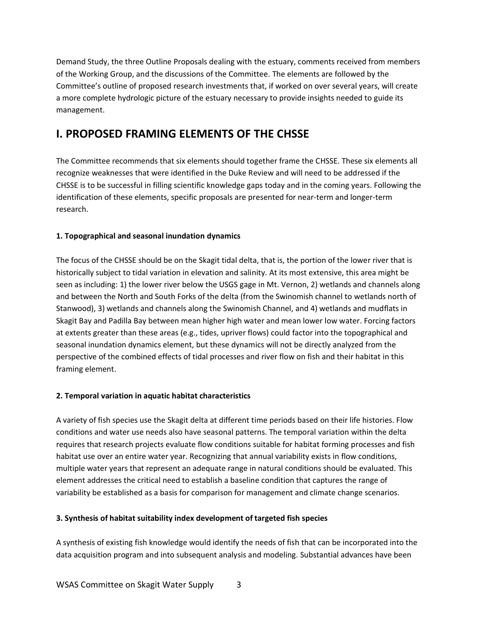Demand Study, the three Outline Proposals dealing with the estuary, comments received from members of the Working Group, and the discussions of the Committee. The elements are followed by the Committee's outline of proposed research investments that, if worked on over several years, will create a more complete hydrologic picture of the estuary necessary to provide insights needed to guide its management.

# <span id="page-8-0"></span>**I. PROPOSED FRAMING ELEMENTS OF THE CHSSE**

The Committee recommends that six elements should together frame the CHSSE. These six elements all recognize weaknesses that were identified in the Duke Review and will need to be addressed if the CHSSE is to be successful in filling scientific knowledge gaps today and in the coming years. Following the identification of these elements, specific proposals are presented for near-term and longer-term research.

# <span id="page-8-1"></span>**1. Topographical and seasonal inundation dynamics**

The focus of the CHSSE should be on the Skagit tidal delta, that is, the portion of the lower river that is historically subject to tidal variation in elevation and salinity. At its most extensive, this area might be seen as including: 1) the lower river below the USGS gage in Mt. Vernon, 2) wetlands and channels along and between the North and South Forks of the delta (from the Swinomish channel to wetlands north of Stanwood), 3) wetlands and channels along the Swinomish Channel, and 4) wetlands and mudflats in Skagit Bay and Padilla Bay between mean higher high water and mean lower low water. Forcing factors at extents greater than these areas (e.g., tides, upriver flows) could factor into the topographical and seasonal inundation dynamics element, but these dynamics will not be directly analyzed from the perspective of the combined effects of tidal processes and river flow on fish and their habitat in this framing element.

# <span id="page-8-2"></span>**2. Temporal variation in aquatic habitat characteristics**

A variety of fish species use the Skagit delta at different time periods based on their life histories. Flow conditions and water use needs also have seasonal patterns. The temporal variation within the delta requires that research projects evaluate flow conditions suitable for habitat forming processes and fish habitat use over an entire water year. Recognizing that annual variability exists in flow conditions, multiple water years that represent an adequate range in natural conditions should be evaluated. This element addresses the critical need to establish a baseline condition that captures the range of variability be established as a basis for comparison for management and climate change scenarios.

# <span id="page-8-3"></span>**3. Synthesis of habitat suitability index development of targeted fish species**

A synthesis of existing fish knowledge would identify the needs of fish that can be incorporated into the data acquisition program and into subsequent analysis and modeling. Substantial advances have been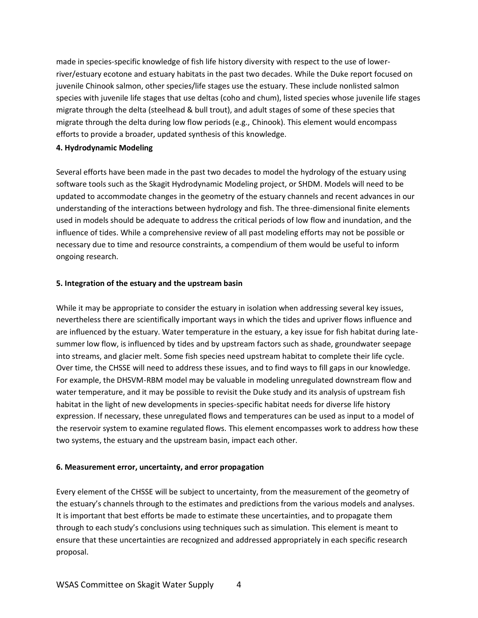made in species-specific knowledge of fish life history diversity with respect to the use of lowerriver/estuary ecotone and estuary habitats in the past two decades. While the Duke report focused on juvenile Chinook salmon, other species/life stages use the estuary. These include nonlisted salmon species with juvenile life stages that use deltas (coho and chum), listed species whose juvenile life stages migrate through the delta (steelhead & bull trout), and adult stages of some of these species that migrate through the delta during low flow periods (e.g., Chinook). This element would encompass efforts to provide a broader, updated synthesis of this knowledge.

#### <span id="page-9-0"></span>**4. Hydrodynamic Modeling**

Several efforts have been made in the past two decades to model the hydrology of the estuary using software tools such as the Skagit Hydrodynamic Modeling project, or SHDM. Models will need to be updated to accommodate changes in the geometry of the estuary channels and recent advances in our understanding of the interactions between hydrology and fish. The three-dimensional finite elements used in models should be adequate to address the critical periods of low flow and inundation, and the influence of tides. While a comprehensive review of all past modeling efforts may not be possible or necessary due to time and resource constraints, a compendium of them would be useful to inform ongoing research.

#### <span id="page-9-1"></span>**5. Integration of the estuary and the upstream basin**

While it may be appropriate to consider the estuary in isolation when addressing several key issues, nevertheless there are scientifically important ways in which the tides and upriver flows influence and are influenced by the estuary. Water temperature in the estuary, a key issue for fish habitat during latesummer low flow, is influenced by tides and by upstream factors such as shade, groundwater seepage into streams, and glacier melt. Some fish species need upstream habitat to complete their life cycle. Over time, the CHSSE will need to address these issues, and to find ways to fill gaps in our knowledge. For example, the DHSVM-RBM model may be valuable in modeling unregulated downstream flow and water temperature, and it may be possible to revisit the Duke study and its analysis of upstream fish habitat in the light of new developments in species-specific habitat needs for diverse life history expression. If necessary, these unregulated flows and temperatures can be used as input to a model of the reservoir system to examine regulated flows. This element encompasses work to address how these two systems, the estuary and the upstream basin, impact each other.

#### <span id="page-9-2"></span>**6. Measurement error, uncertainty, and error propagation**

Every element of the CHSSE will be subject to uncertainty, from the measurement of the geometry of the estuary's channels through to the estimates and predictions from the various models and analyses. It is important that best efforts be made to estimate these uncertainties, and to propagate them through to each study's conclusions using techniques such as simulation. This element is meant to ensure that these uncertainties are recognized and addressed appropriately in each specific research proposal.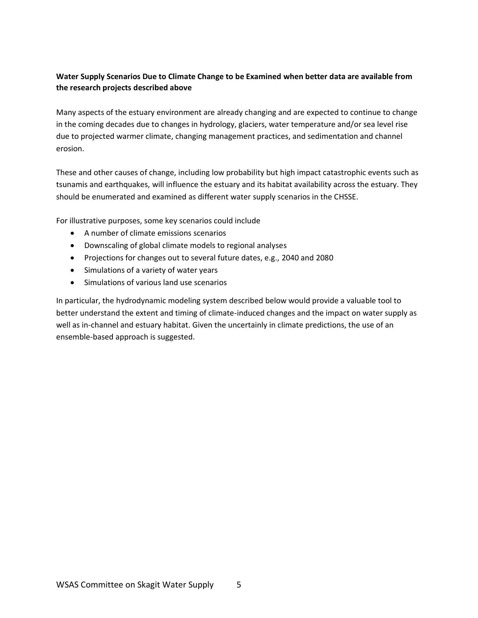# <span id="page-10-0"></span>**Water Supply Scenarios Due to Climate Change to be Examined when better data are available from the research projects described above**

Many aspects of the estuary environment are already changing and are expected to continue to change in the coming decades due to changes in hydrology, glaciers, water temperature and/or sea level rise due to projected warmer climate, changing management practices, and sedimentation and channel erosion.

These and other causes of change, including low probability but high impact catastrophic events such as tsunamis and earthquakes, will influence the estuary and its habitat availability across the estuary. They should be enumerated and examined as different water supply scenarios in the CHSSE.

For illustrative purposes, some key scenarios could include

- A number of climate emissions scenarios
- Downscaling of global climate models to regional analyses
- Projections for changes out to several future dates, e.g., 2040 and 2080
- Simulations of a variety of water years
- Simulations of various land use scenarios

In particular, the hydrodynamic modeling system described below would provide a valuable tool to better understand the extent and timing of climate-induced changes and the impact on water supply as well as in-channel and estuary habitat. Given the uncertainly in climate predictions, the use of an ensemble-based approach is suggested.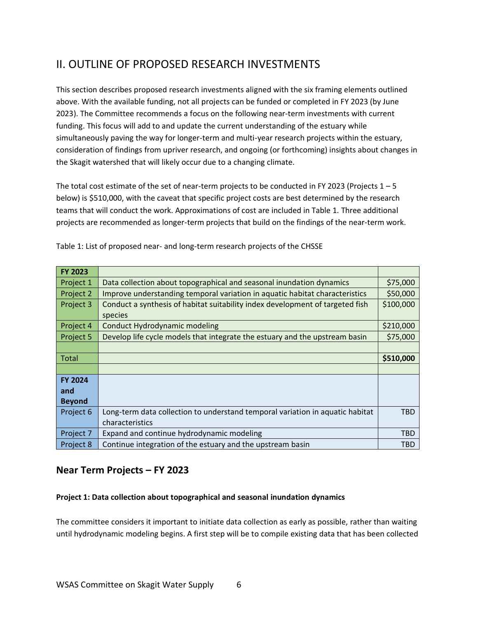# <span id="page-11-0"></span>II. OUTLINE OF PROPOSED RESEARCH INVESTMENTS

This section describes proposed research investments aligned with the six framing elements outlined above. With the available funding, not all projects can be funded or completed in FY 2023 (by June 2023). The Committee recommends a focus on the following near-term investments with current funding. This focus will add to and update the current understanding of the estuary while simultaneously paving the way for longer-term and multi-year research projects within the estuary, consideration of findings from upriver research, and ongoing (or forthcoming) insights about changes in the Skagit watershed that will likely occur due to a changing climate.

The total cost estimate of the set of near-term projects to be conducted in FY 2023 (Projects  $1 - 5$ ) below) is \$510,000, with the caveat that specific project costs are best determined by the research teams that will conduct the work. Approximations of cost are included in Table 1. Three additional projects are recommended as longer-term projects that build on the findings of the near-term work.

| <b>FY 2023</b> |                                                                               |            |
|----------------|-------------------------------------------------------------------------------|------------|
| Project 1      | Data collection about topographical and seasonal inundation dynamics          | \$75,000   |
| Project 2      | Improve understanding temporal variation in aquatic habitat characteristics   | \$50,000   |
| Project 3      | Conduct a synthesis of habitat suitability index development of targeted fish | \$100,000  |
|                | species                                                                       |            |
| Project 4      | <b>Conduct Hydrodynamic modeling</b>                                          | \$210,000  |
| Project 5      | Develop life cycle models that integrate the estuary and the upstream basin   | \$75,000   |
|                |                                                                               |            |
| <b>Total</b>   |                                                                               | \$510,000  |
|                |                                                                               |            |
| <b>FY 2024</b> |                                                                               |            |
| and            |                                                                               |            |
| <b>Beyond</b>  |                                                                               |            |
| Project 6      | Long-term data collection to understand temporal variation in aquatic habitat | <b>TBD</b> |
|                | characteristics                                                               |            |
| Project 7      | Expand and continue hydrodynamic modeling                                     | <b>TBD</b> |
| Project 8      | Continue integration of the estuary and the upstream basin                    | <b>TBD</b> |

Table 1: List of proposed near- and long-term research projects of the CHSSE

# <span id="page-11-1"></span>**Near Term Projects – FY 2023**

#### <span id="page-11-2"></span>**Project 1: Data collection about topographical and seasonal inundation dynamics**

The committee considers it important to initiate data collection as early as possible, rather than waiting until hydrodynamic modeling begins. A first step will be to compile existing data that has been collected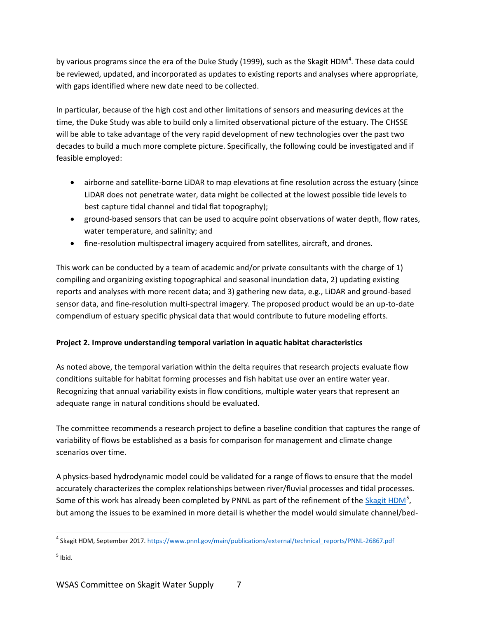by various programs since the era of the Duke Study (1999), such as the Skagit HDM<sup>4</sup>. These data could be reviewed, updated, and incorporated as updates to existing reports and analyses where appropriate, with gaps identified where new date need to be collected.

In particular, because of the high cost and other limitations of sensors and measuring devices at the time, the Duke Study was able to build only a limited observational picture of the estuary. The CHSSE will be able to take advantage of the very rapid development of new technologies over the past two decades to build a much more complete picture. Specifically, the following could be investigated and if feasible employed:

- airborne and satellite-borne LiDAR to map elevations at fine resolution across the estuary (since LiDAR does not penetrate water, data might be collected at the lowest possible tide levels to best capture tidal channel and tidal flat topography);
- ground-based sensors that can be used to acquire point observations of water depth, flow rates, water temperature, and salinity; and
- fine-resolution multispectral imagery acquired from satellites, aircraft, and drones.

This work can be conducted by a team of academic and/or private consultants with the charge of 1) compiling and organizing existing topographical and seasonal inundation data, 2) updating existing reports and analyses with more recent data; and 3) gathering new data, e.g., LiDAR and ground-based sensor data, and fine-resolution multi-spectral imagery. The proposed product would be an up-to-date compendium of estuary specific physical data that would contribute to future modeling efforts.

# <span id="page-12-0"></span>**Project 2. Improve understanding temporal variation in aquatic habitat characteristics**

As noted above, the temporal variation within the delta requires that research projects evaluate flow conditions suitable for habitat forming processes and fish habitat use over an entire water year. Recognizing that annual variability exists in flow conditions, multiple water years that represent an adequate range in natural conditions should be evaluated.

The committee recommends a research project to define a baseline condition that captures the range of variability of flows be established as a basis for comparison for management and climate change scenarios over time.

A physics-based hydrodynamic model could be validated for a range of flows to ensure that the model accurately characterizes the complex relationships between river/fluvial processes and tidal processes. Some of this work has already been completed by PNNL as part of the refinement of the [Skagit HDM](https://www.pnnl.gov/main/publications/external/technical_reports/PNNL-26867.pdf)<sup>5</sup>, but among the issues to be examined in more detail is whether the model would simulate channel/bed-

<sup>&</sup>lt;sup>4</sup> Skagit HDM, September 2017. [https://www.pnnl.gov/main/publications/external/technical\\_reports/PNNL-26867.pdf](https://www.pnnl.gov/main/publications/external/technical_reports/PNNL-26867.pdf)

 $<sup>5</sup>$  Ibid.</sup>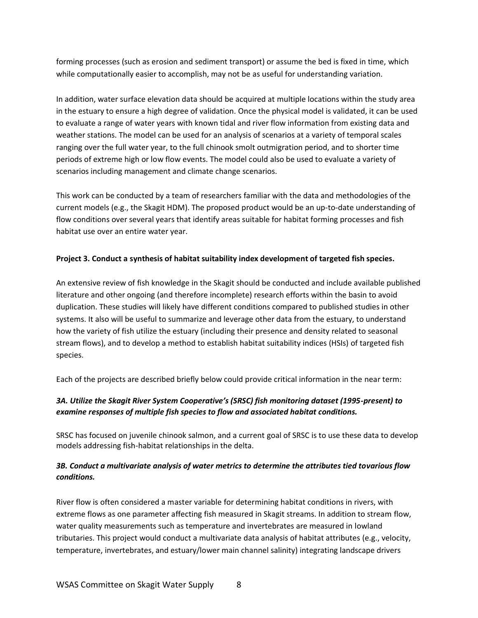forming processes (such as erosion and sediment transport) or assume the bed is fixed in time, which while computationally easier to accomplish, may not be as useful for understanding variation.

In addition, water surface elevation data should be acquired at multiple locations within the study area in the estuary to ensure a high degree of validation. Once the physical model is validated, it can be used to evaluate a range of water years with known tidal and river flow information from existing data and weather stations. The model can be used for an analysis of scenarios at a variety of temporal scales ranging over the full water year, to the full chinook smolt outmigration period, and to shorter time periods of extreme high or low flow events. The model could also be used to evaluate a variety of scenarios including management and climate change scenarios.

This work can be conducted by a team of researchers familiar with the data and methodologies of the current models (e.g., the Skagit HDM). The proposed product would be an up-to-date understanding of flow conditions over several years that identify areas suitable for habitat forming processes and fish habitat use over an entire water year.

#### <span id="page-13-0"></span>**Project 3. Conduct a synthesis of habitat suitability index development of targeted fish species.**

An extensive review of fish knowledge in the Skagit should be conducted and include available published literature and other ongoing (and therefore incomplete) research efforts within the basin to avoid duplication. These studies will likely have different conditions compared to published studies in other systems. It also will be useful to summarize and leverage other data from the estuary, to understand how the variety of fish utilize the estuary (including their presence and density related to seasonal stream flows), and to develop a method to establish habitat suitability indices (HSIs) of targeted fish species.

Each of the projects are described briefly below could provide critical information in the near term:

### <span id="page-13-1"></span>*3A. Utilize the Skagit River System Cooperative's (SRSC) fish monitoring dataset (1995-present) to examine responses of multiple fish species to flow and associated habitat conditions.*

SRSC has focused on juvenile chinook salmon, and a current goal of SRSC is to use these data to develop models addressing fish-habitat relationships in the delta.

### <span id="page-13-2"></span>*3B. Conduct a multivariate analysis of water metrics to determine the attributes tied tovarious flow conditions.*

River flow is often considered a master variable for determining habitat conditions in rivers, with extreme flows as one parameter affecting fish measured in Skagit streams. In addition to stream flow, water quality measurements such as temperature and invertebrates are measured in lowland tributaries. This project would conduct a multivariate data analysis of habitat attributes (e.g., velocity, temperature, invertebrates, and estuary/lower main channel salinity) integrating landscape drivers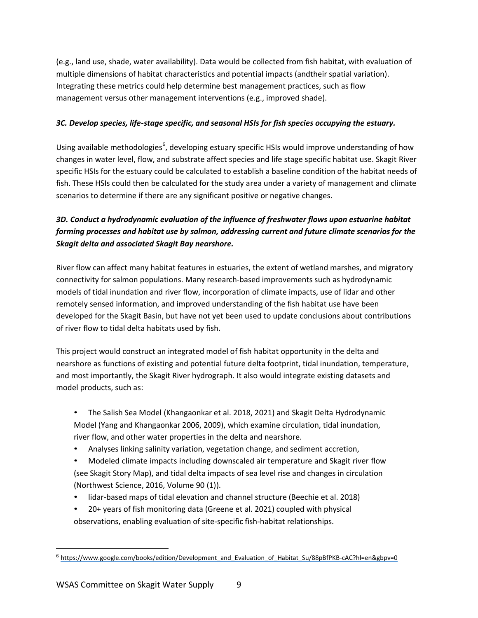(e.g., land use, shade, water availability). Data would be collected from fish habitat, with evaluation of multiple dimensions of habitat characteristics and potential impacts (andtheir spatial variation). Integrating these metrics could help determine best management practices, such as flow management versus other management interventions (e.g., improved shade).

### <span id="page-14-0"></span>*3C. Develop species, life-stage specific, and seasonal HSIs for fish species occupying the estuary.*

Using available methodologies<sup>6</sup>, developing estuary specific HSIs would improve understanding of how changes in water level, flow, and substrate affect species and life stage specific habitat use. Skagit River specific HSIs for the estuary could be calculated to establish a baseline condition of the habitat needs of fish. These HSIs could then be calculated for the study area under a variety of management and climate scenarios to determine if there are any significant positive or negative changes.

# <span id="page-14-1"></span>*3D. Conduct a hydrodynamic evaluation of the influence of freshwater flows upon estuarine habitat forming processes and habitat use by salmon, addressing current and future climate scenarios for the Skagit delta and associated Skagit Bay nearshore.*

River flow can affect many habitat features in estuaries, the extent of wetland marshes, and migratory connectivity for salmon populations. Many research-based improvements such as hydrodynamic models of tidal inundation and river flow, incorporation of climate impacts, use of lidar and other remotely sensed information, and improved understanding of the fish habitat use have been developed for the Skagit Basin, but have not yet been used to update conclusions about contributions of river flow to tidal delta habitats used by fish.

This project would construct an integrated model of fish habitat opportunity in the delta and nearshore as functions of existing and potential future delta footprint, tidal inundation, temperature, and most importantly, the Skagit River hydrograph. It also would integrate existing datasets and model products, such as:

- The Salish Sea Model (Khangaonkar et al. 2018, 2021) and Skagit Delta Hydrodynamic Model (Yang and Khangaonkar 2006, 2009), which examine circulation, tidal inundation, river flow, and other water properties in the delta and nearshore.
- Analyses linking salinity variation, vegetation change, and sediment accretion,
- Modeled climate impacts including downscaled air temperature and Skagit river flow (see Skagit Story Map), and tidal delta impacts of sea level rise and changes in circulation (Northwest Science, 2016, Volume 90 (1)).
- lidar-based maps of tidal elevation and channel structure (Beechie et al. 2018)
- 20+ years of fish monitoring data (Greene et al. 2021) coupled with physical observations, enabling evaluation of site-specific fish-habitat relationships.

<sup>6</sup> [https://www.google.com/books/edition/Development\\_and\\_Evaluation\\_of\\_Habitat\\_Su/88pBfPKB-cAC?hl=en&gbpv=0](http://www.google.com/books/edition/Development_and_Evaluation_of_Habitat_Su/88pBfPKB-cAC?hl=en&gbpv=0))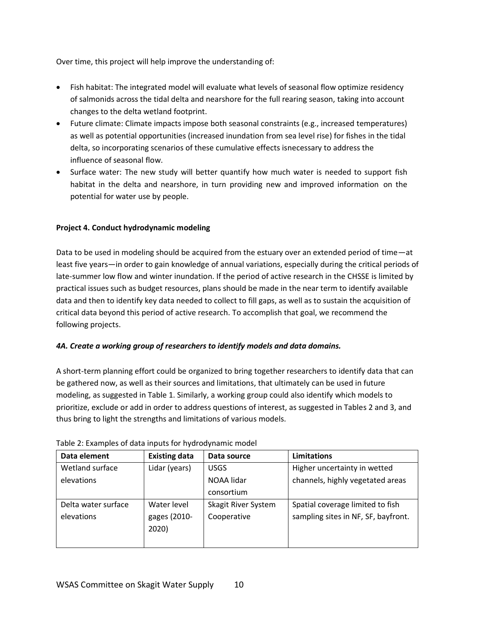Over time, this project will help improve the understanding of:

- Fish habitat: The integrated model will evaluate what levels of seasonal flow optimize residency of salmonids across the tidal delta and nearshore for the full rearing season, taking into account changes to the delta wetland footprint.
- Future climate: Climate impacts impose both seasonal constraints (e.g., increased temperatures) as well as potential opportunities (increased inundation from sea level rise) for fishes in the tidal delta, so incorporating scenarios of these cumulative effects isnecessary to address the influence of seasonal flow.
- Surface water: The new study will better quantify how much water is needed to support fish habitat in the delta and nearshore, in turn providing new and improved information on the potential for water use by people.

#### <span id="page-15-0"></span>**Project 4. Conduct hydrodynamic modeling**

Data to be used in modeling should be acquired from the estuary over an extended period of time—at least five years—in order to gain knowledge of annual variations, especially during the critical periods of late-summer low flow and winter inundation. If the period of active research in the CHSSE is limited by practical issues such as budget resources, plans should be made in the near term to identify available data and then to identify key data needed to collect to fill gaps, as well as to sustain the acquisition of critical data beyond this period of active research. To accomplish that goal, we recommend the following projects.

#### <span id="page-15-1"></span>*4A. Create a working group of researchers to identify models and data domains.*

A short-term planning effort could be organized to bring together researchers to identify data that can be gathered now, as well as their sources and limitations, that ultimately can be used in future modeling, as suggested in Table 1. Similarly, a working group could also identify which models to prioritize, exclude or add in order to address questions of interest, as suggested in Tables 2 and 3, and thus bring to light the strengths and limitations of various models.

| Data element        | <b>Existing data</b> | Data source         | Limitations                         |
|---------------------|----------------------|---------------------|-------------------------------------|
| Wetland surface     | Lidar (years)        | <b>USGS</b>         | Higher uncertainty in wetted        |
| elevations          |                      | NOAA lidar          | channels, highly vegetated areas    |
|                     |                      | consortium          |                                     |
| Delta water surface | Water level          | Skagit River System | Spatial coverage limited to fish    |
| elevations          | gages (2010-         | Cooperative         | sampling sites in NF, SF, bayfront. |
|                     | 2020)                |                     |                                     |
|                     |                      |                     |                                     |

#### Table 2: Examples of data inputs for hydrodynamic model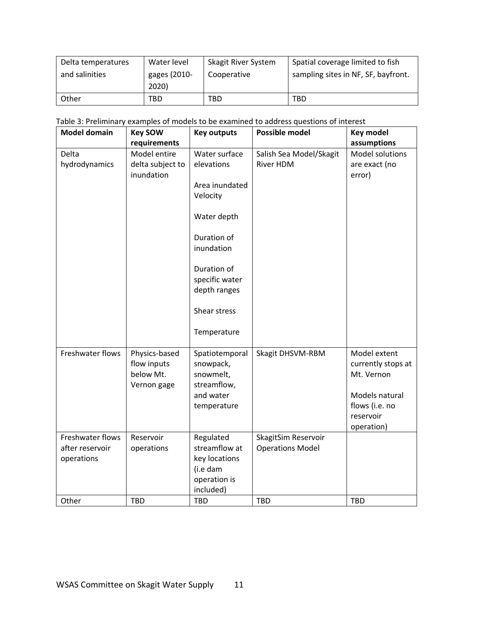| Delta temperatures | Water level                 | Skagit River System | Spatial coverage limited to fish    |  |
|--------------------|-----------------------------|---------------------|-------------------------------------|--|
| and salinities     | gages (2010-<br>Cooperative |                     | sampling sites in NF, SF, bayfront. |  |
|                    | 2020)                       |                     |                                     |  |
| Other              | TBD                         | TBD                 | TBD                                 |  |

| Table 3: Preliminary examples of models to be examined to address questions of interest |  |  |  |
|-----------------------------------------------------------------------------------------|--|--|--|
|                                                                                         |  |  |  |

| <b>Model domain</b> | <b>Key SOW</b>   | <b>Key outputs</b> | <b>Possible model</b>   | <b>Key model</b>            |
|---------------------|------------------|--------------------|-------------------------|-----------------------------|
|                     | requirements     |                    |                         | assumptions                 |
| Delta               | Model entire     | Water surface      | Salish Sea Model/Skagit | Model solutions             |
| hydrodynamics       | delta subject to | elevations         | <b>River HDM</b>        | are exact (no               |
|                     | inundation       |                    |                         | error)                      |
|                     |                  | Area inundated     |                         |                             |
|                     |                  | Velocity           |                         |                             |
|                     |                  | Water depth        |                         |                             |
|                     |                  | Duration of        |                         |                             |
|                     |                  | inundation         |                         |                             |
|                     |                  | Duration of        |                         |                             |
|                     |                  | specific water     |                         |                             |
|                     |                  | depth ranges       |                         |                             |
|                     |                  |                    |                         |                             |
|                     |                  | Shear stress       |                         |                             |
|                     |                  | Temperature        |                         |                             |
| Freshwater flows    | Physics-based    | Spatiotemporal     | Skagit DHSVM-RBM        | Model extent                |
|                     | flow inputs      | snowpack,          |                         | currently stops at          |
|                     | below Mt.        | snowmelt,          |                         | Mt. Vernon                  |
|                     | Vernon gage      | streamflow,        |                         |                             |
|                     |                  | and water          |                         | Models natural              |
|                     |                  | temperature        |                         | flows (i.e. no<br>reservoir |
|                     |                  |                    |                         | operation)                  |
| Freshwater flows    | Reservoir        | Regulated          | SkagitSim Reservoir     |                             |
| after reservoir     | operations       | streamflow at      | <b>Operations Model</b> |                             |
| operations          |                  | key locations      |                         |                             |
|                     |                  | (i.e dam           |                         |                             |
|                     |                  | operation is       |                         |                             |
|                     |                  | included)          |                         |                             |
| Other               | <b>TBD</b>       | <b>TBD</b>         | <b>TBD</b>              | <b>TBD</b>                  |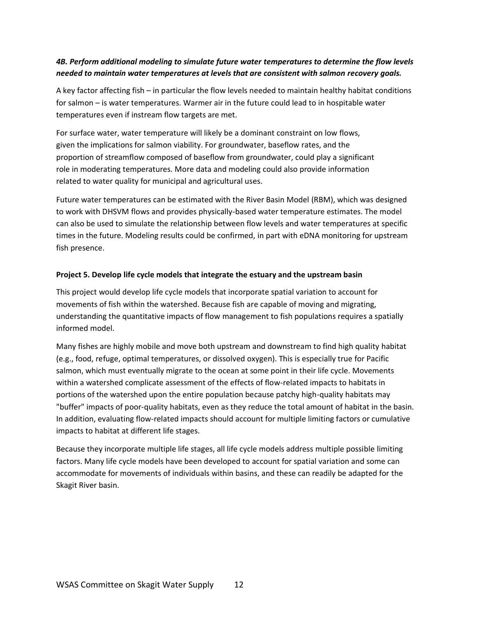## <span id="page-17-0"></span>*4B. Perform additional modeling to simulate future water temperatures to determine the flow levels needed to maintain water temperatures at levels that are consistent with salmon recovery goals.*

A key factor affecting fish – in particular the flow levels needed to maintain healthy habitat conditions for salmon – is water temperatures. Warmer air in the future could lead to in hospitable water temperatures even if instream flow targets are met.

For surface water, water temperature will likely be a dominant constraint on low flows, given the implications for salmon viability. For groundwater, baseflow rates, and the proportion of streamflow composed of baseflow from groundwater, could play a significant role in moderating temperatures. More data and modeling could also provide information related to water quality for municipal and agricultural uses.

Future water temperatures can be estimated with the River Basin Model (RBM), which was designed to work with DHSVM flows and provides physically-based water temperature estimates. The model can also be used to simulate the relationship between flow levels and water temperatures at specific times in the future. Modeling results could be confirmed, in part with eDNA monitoring for upstream fish presence.

#### <span id="page-17-1"></span>**Project 5. Develop life cycle models that integrate the estuary and the upstream basin**

This project would develop life cycle models that incorporate spatial variation to account for movements of fish within the watershed. Because fish are capable of moving and migrating, understanding the quantitative impacts of flow management to fish populations requires a spatially informed model.

Many fishes are highly mobile and move both upstream and downstream to find high quality habitat (e.g., food, refuge, optimal temperatures, or dissolved oxygen). This is especially true for Pacific salmon, which must eventually migrate to the ocean at some point in their life cycle. Movements within a watershed complicate assessment of the effects of flow-related impacts to habitats in portions of the watershed upon the entire population because patchy high-quality habitats may "buffer" impacts of poor-quality habitats, even as they reduce the total amount of habitat in the basin. In addition, evaluating flow-related impacts should account for multiple limiting factors or cumulative impacts to habitat at different life stages.

Because they incorporate multiple life stages, all life cycle models address multiple possible limiting factors. Many life cycle models have been developed to account for spatial variation and some can accommodate for movements of individuals within basins, and these can readily be adapted for the Skagit River basin.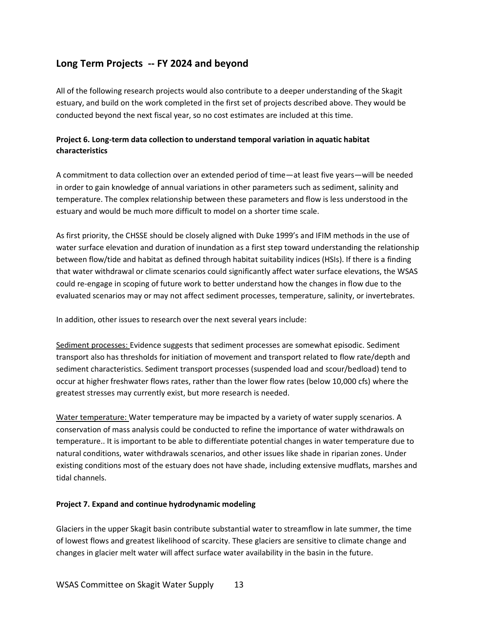# <span id="page-18-0"></span>**Long Term Projects -- FY 2024 and beyond**

All of the following research projects would also contribute to a deeper understanding of the Skagit estuary, and build on the work completed in the first set of projects described above. They would be conducted beyond the next fiscal year, so no cost estimates are included at this time.

## <span id="page-18-1"></span>**Project 6. Long-term data collection to understand temporal variation in aquatic habitat characteristics**

A commitment to data collection over an extended period of time—at least five years—will be needed in order to gain knowledge of annual variations in other parameters such as sediment, salinity and temperature. The complex relationship between these parameters and flow is less understood in the estuary and would be much more difficult to model on a shorter time scale.

As first priority, the CHSSE should be closely aligned with Duke 1999's and IFIM methods in the use of water surface elevation and duration of inundation as a first step toward understanding the relationship between flow/tide and habitat as defined through habitat suitability indices (HSIs). If there is a finding that water withdrawal or climate scenarios could significantly affect water surface elevations, the WSAS could re-engage in scoping of future work to better understand how the changes in flow due to the evaluated scenarios may or may not affect sediment processes, temperature, salinity, or invertebrates.

In addition, other issues to research over the next several years include:

Sediment processes: Evidence suggests that sediment processes are somewhat episodic. Sediment transport also has thresholds for initiation of movement and transport related to flow rate/depth and sediment characteristics. Sediment transport processes (suspended load and scour/bedload) tend to occur at higher freshwater flows rates, rather than the lower flow rates (below 10,000 cfs) where the greatest stresses may currently exist, but more research is needed.

Water temperature: Water temperature may be impacted by a variety of water supply scenarios. A conservation of mass analysis could be conducted to refine the importance of water withdrawals on temperature.. It is important to be able to differentiate potential changes in water temperature due to natural conditions, water withdrawals scenarios, and other issues like shade in riparian zones. Under existing conditions most of the estuary does not have shade, including extensive mudflats, marshes and tidal channels.

#### <span id="page-18-2"></span>**Project 7. Expand and continue hydrodynamic modeling**

Glaciers in the upper Skagit basin contribute substantial water to streamflow in late summer, the time of lowest flows and greatest likelihood of scarcity. These glaciers are sensitive to climate change and changes in glacier melt water will affect surface water availability in the basin in the future.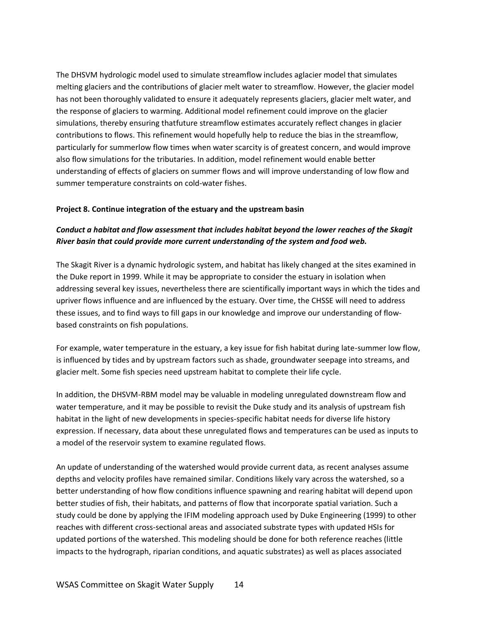The DHSVM hydrologic model used to simulate streamflow includes aglacier model that simulates melting glaciers and the contributions of glacier melt water to streamflow. However, the glacier model has not been thoroughly validated to ensure it adequately represents glaciers, glacier melt water, and the response of glaciers to warming. Additional model refinement could improve on the glacier simulations, thereby ensuring thatfuture streamflow estimates accurately reflect changes in glacier contributions to flows. This refinement would hopefully help to reduce the bias in the streamflow, particularly for summerlow flow times when water scarcity is of greatest concern, and would improve also flow simulations for the tributaries. In addition, model refinement would enable better understanding of effects of glaciers on summer flows and will improve understanding of low flow and summer temperature constraints on cold-water fishes.

#### <span id="page-19-0"></span>**Project 8. Continue integration of the estuary and the upstream basin**

## <span id="page-19-1"></span>*Conduct a habitat and flow assessment that includes habitat beyond the lower reaches of the Skagit River basin that could provide more current understanding of the system and food web.*

The Skagit River is a dynamic hydrologic system, and habitat has likely changed at the sites examined in the Duke report in 1999. While it may be appropriate to consider the estuary in isolation when addressing several key issues, nevertheless there are scientifically important ways in which the tides and upriver flows influence and are influenced by the estuary. Over time, the CHSSE will need to address these issues, and to find ways to fill gaps in our knowledge and improve our understanding of flowbased constraints on fish populations.

For example, water temperature in the estuary, a key issue for fish habitat during late-summer low flow, is influenced by tides and by upstream factors such as shade, groundwater seepage into streams, and glacier melt. Some fish species need upstream habitat to complete their life cycle.

In addition, the DHSVM-RBM model may be valuable in modeling unregulated downstream flow and water temperature, and it may be possible to revisit the Duke study and its analysis of upstream fish habitat in the light of new developments in species-specific habitat needs for diverse life history expression. If necessary, data about these unregulated flows and temperatures can be used as inputs to a model of the reservoir system to examine regulated flows.

An update of understanding of the watershed would provide current data, as recent analyses assume depths and velocity profiles have remained similar. Conditions likely vary across the watershed, so a better understanding of how flow conditions influence spawning and rearing habitat will depend upon better studies of fish, their habitats, and patterns of flow that incorporate spatial variation. Such a study could be done by applying the IFIM modeling approach used by Duke Engineering (1999) to other reaches with different cross-sectional areas and associated substrate types with updated HSIs for updated portions of the watershed. This modeling should be done for both reference reaches (little impacts to the hydrograph, riparian conditions, and aquatic substrates) as well as places associated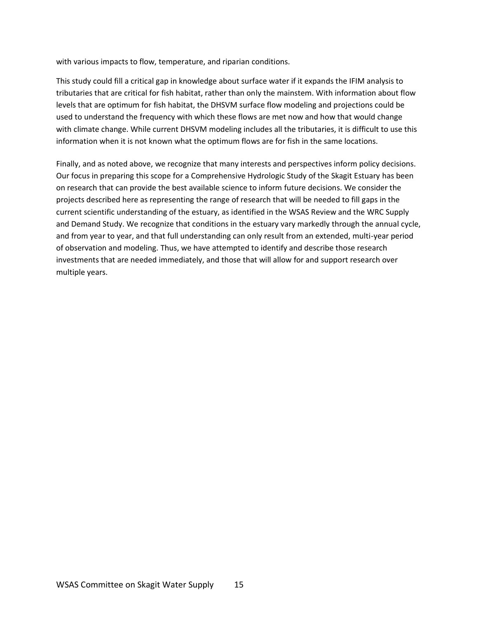with various impacts to flow, temperature, and riparian conditions.

This study could fill a critical gap in knowledge about surface water if it expands the IFIM analysis to tributaries that are critical for fish habitat, rather than only the mainstem. With information about flow levels that are optimum for fish habitat, the DHSVM surface flow modeling and projections could be used to understand the frequency with which these flows are met now and how that would change with climate change. While current DHSVM modeling includes all the tributaries, it is difficult to use this information when it is not known what the optimum flows are for fish in the same locations.

Finally, and as noted above, we recognize that many interests and perspectives inform policy decisions. Our focus in preparing this scope for a Comprehensive Hydrologic Study of the Skagit Estuary has been on research that can provide the best available science to inform future decisions. We consider the projects described here as representing the range of research that will be needed to fill gaps in the current scientific understanding of the estuary, as identified in the WSAS Review and the WRC Supply and Demand Study. We recognize that conditions in the estuary vary markedly through the annual cycle, and from year to year, and that full understanding can only result from an extended, multi-year period of observation and modeling. Thus, we have attempted to identify and describe those research investments that are needed immediately, and those that will allow for and support research over multiple years.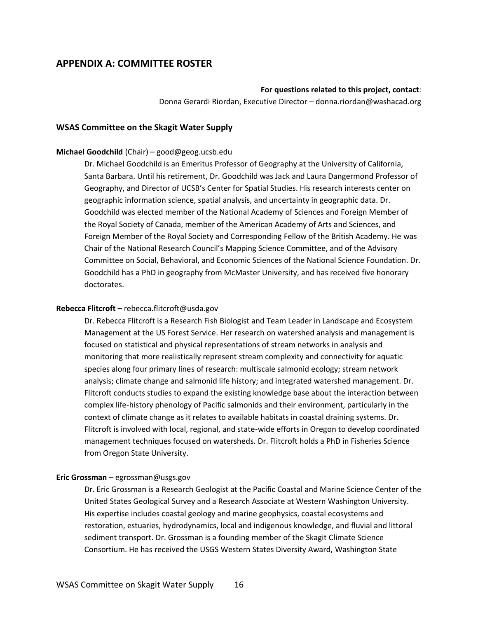# <span id="page-21-0"></span>**APPENDIX A: COMMITTEE ROSTER**

#### **For questions related to this project, contact**:

Donna Gerardi Riordan, Executive Director – donna.riordan@washacad.org

#### **WSAS Committee on the Skagit Water Supply**

#### **Michael Goodchild** (Chair) – good@geog.ucsb.edu

Dr. Michael Goodchild is an Emeritus Professor of Geography at the University of California, Santa Barbara. Until his retirement, Dr. Goodchild was Jack and Laura Dangermond Professor of Geography, and Director of UCSB's Center for Spatial Studies. His research interests center on geographic information science, spatial analysis, and uncertainty in geographic data. Dr. Goodchild was elected member of the National Academy of Sciences and Foreign Member of the Royal Society of Canada, member of the American Academy of Arts and Sciences, and Foreign Member of the Royal Society and Corresponding Fellow of the British Academy. He was Chair of the National Research Council's Mapping Science Committee, and of the Advisory Committee on Social, Behavioral, and Economic Sciences of the National Science Foundation. Dr. Goodchild has a PhD in geography from McMaster University, and has received five honorary doctorates.

#### **Rebecca Flitcroft –** rebecca.flitcroft@usda.gov

Dr. Rebecca Flitcroft is a Research Fish Biologist and Team Leader in Landscape and Ecosystem Management at the US Forest Service. Her research on watershed analysis and management is focused on statistical and physical representations of stream networks in analysis and monitoring that more realistically represent stream complexity and connectivity for aquatic species along four primary lines of research: multiscale salmonid ecology; stream network analysis; climate change and salmonid life history; and integrated watershed management. Dr. Flitcroft conducts studies to expand the existing knowledge base about the interaction between complex life-history phenology of Pacific salmonids and their environment, particularly in the context of climate change as it relates to available habitats in coastal draining systems. Dr. Flitcroft is involved with local, regional, and state-wide efforts in Oregon to develop coordinated management techniques focused on watersheds. Dr. Flitcroft holds a PhD in Fisheries Science from Oregon State University.

#### **Eric Grossman** – egrossman@usgs.gov

Dr. Eric Grossman is a Research Geologist at the Pacific Coastal and Marine Science Center of the United States Geological Survey and a Research Associate at Western Washington University. His expertise includes coastal geology and marine geophysics, coastal ecosystems and restoration, estuaries, hydrodynamics, local and indigenous knowledge, and fluvial and littoral sediment transport. Dr. Grossman is a founding member of the Skagit Climate Science Consortium. He has received the USGS Western States Diversity Award, Washington State